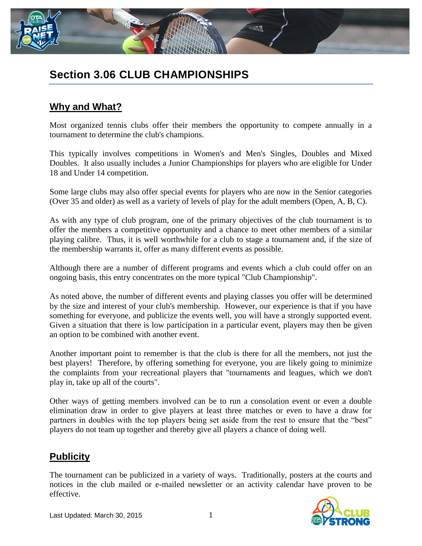

# **Section 3.06 CLUB CHAMPIONSHIPS**

## **Why and What?**

Most organized tennis clubs offer their members the opportunity to compete annually in a tournament to determine the club's champions.

This typically involves competitions in Women's and Men's Singles, Doubles and Mixed Doubles. It also usually includes a Junior Championships for players who are eligible for Under 18 and Under 14 competition.

Some large clubs may also offer special events for players who are now in the Senior categories (Over 35 and older) as well as a variety of levels of play for the adult members (Open, A, B, C).

As with any type of club program, one of the primary objectives of the club tournament is to offer the members a competitive opportunity and a chance to meet other members of a similar playing calibre. Thus, it is well worthwhile for a club to stage a tournament and, if the size of the membership warrants it, offer as many different events as possible.

Although there are a number of different programs and events which a club could offer on an ongoing basis, this entry concentrates on the more typical "Club Championship".

As noted above, the number of different events and playing classes you offer will be determined by the size and interest of your club's membership. However, our experience is that if you have something for everyone, and publicize the events well, you will have a strongly supported event. Given a situation that there is low participation in a particular event, players may then be given an option to be combined with another event.

Another important point to remember is that the club is there for all the members, not just the best players! Therefore, by offering something for everyone, you are likely going to minimize the complaints from your recreational players that "tournaments and leagues, which we don't play in, take up all of the courts".

Other ways of getting members involved can be to run a consolation event or even a double elimination draw in order to give players at least three matches or even to have a draw for partners in doubles with the top players being set aside from the rest to ensure that the "best" players do not team up together and thereby give all players a chance of doing well.

### **Publicity**

The tournament can be publicized in a variety of ways. Traditionally, posters at the courts and notices in the club mailed or e-mailed newsletter or an activity calendar have proven to be effective.

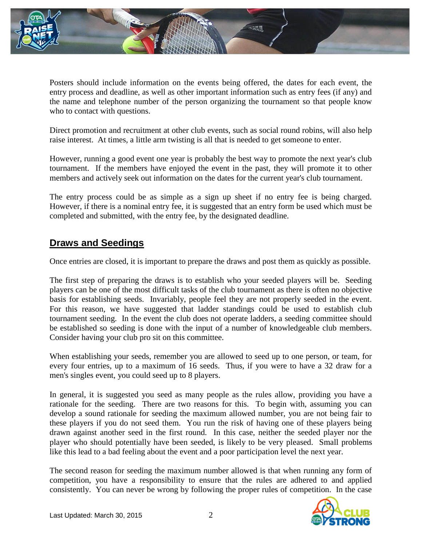

Posters should include information on the events being offered, the dates for each event, the entry process and deadline, as well as other important information such as entry fees (if any) and the name and telephone number of the person organizing the tournament so that people know who to contact with questions.

Direct promotion and recruitment at other club events, such as social round robins, will also help raise interest. At times, a little arm twisting is all that is needed to get someone to enter.

However, running a good event one year is probably the best way to promote the next year's club tournament. If the members have enjoyed the event in the past, they will promote it to other members and actively seek out information on the dates for the current year's club tournament.

The entry process could be as simple as a sign up sheet if no entry fee is being charged. However, if there is a nominal entry fee, it is suggested that an entry form be used which must be completed and submitted, with the entry fee, by the designated deadline.

### **Draws and Seedings**

Once entries are closed, it is important to prepare the draws and post them as quickly as possible.

The first step of preparing the draws is to establish who your seeded players will be. Seeding players can be one of the most difficult tasks of the club tournament as there is often no objective basis for establishing seeds. Invariably, people feel they are not properly seeded in the event. For this reason, we have suggested that ladder standings could be used to establish club tournament seeding. In the event the club does not operate ladders, a seeding committee should be established so seeding is done with the input of a number of knowledgeable club members. Consider having your club pro sit on this committee.

When establishing your seeds, remember you are allowed to seed up to one person, or team, for every four entries, up to a maximum of 16 seeds. Thus, if you were to have a 32 draw for a men's singles event, you could seed up to 8 players.

In general, it is suggested you seed as many people as the rules allow, providing you have a rationale for the seeding. There are two reasons for this. To begin with, assuming you can develop a sound rationale for seeding the maximum allowed number, you are not being fair to these players if you do not seed them. You run the risk of having one of these players being drawn against another seed in the first round. In this case, neither the seeded player nor the player who should potentially have been seeded, is likely to be very pleased. Small problems like this lead to a bad feeling about the event and a poor participation level the next year.

The second reason for seeding the maximum number allowed is that when running any form of competition, you have a responsibility to ensure that the rules are adhered to and applied consistently. You can never be wrong by following the proper rules of competition. In the case

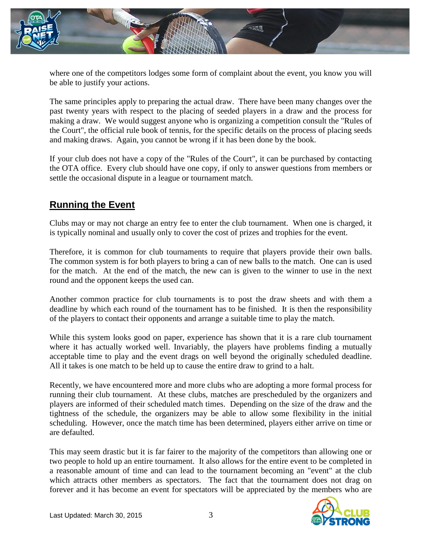

where one of the competitors lodges some form of complaint about the event, you know you will be able to justify your actions.

The same principles apply to preparing the actual draw. There have been many changes over the past twenty years with respect to the placing of seeded players in a draw and the process for making a draw. We would suggest anyone who is organizing a competition consult the "Rules of the Court", the official rule book of tennis, for the specific details on the process of placing seeds and making draws. Again, you cannot be wrong if it has been done by the book.

If your club does not have a copy of the "Rules of the Court", it can be purchased by contacting the OTA office. Every club should have one copy, if only to answer questions from members or settle the occasional dispute in a league or tournament match.

## **Running the Event**

Clubs may or may not charge an entry fee to enter the club tournament. When one is charged, it is typically nominal and usually only to cover the cost of prizes and trophies for the event.

Therefore, it is common for club tournaments to require that players provide their own balls. The common system is for both players to bring a can of new balls to the match. One can is used for the match. At the end of the match, the new can is given to the winner to use in the next round and the opponent keeps the used can.

Another common practice for club tournaments is to post the draw sheets and with them a deadline by which each round of the tournament has to be finished. It is then the responsibility of the players to contact their opponents and arrange a suitable time to play the match.

While this system looks good on paper, experience has shown that it is a rare club tournament where it has actually worked well. Invariably, the players have problems finding a mutually acceptable time to play and the event drags on well beyond the originally scheduled deadline. All it takes is one match to be held up to cause the entire draw to grind to a halt.

Recently, we have encountered more and more clubs who are adopting a more formal process for running their club tournament. At these clubs, matches are prescheduled by the organizers and players are informed of their scheduled match times. Depending on the size of the draw and the tightness of the schedule, the organizers may be able to allow some flexibility in the initial scheduling. However, once the match time has been determined, players either arrive on time or are defaulted.

This may seem drastic but it is far fairer to the majority of the competitors than allowing one or two people to hold up an entire tournament. It also allows for the entire event to be completed in a reasonable amount of time and can lead to the tournament becoming an "event" at the club which attracts other members as spectators. The fact that the tournament does not drag on forever and it has become an event for spectators will be appreciated by the members who are